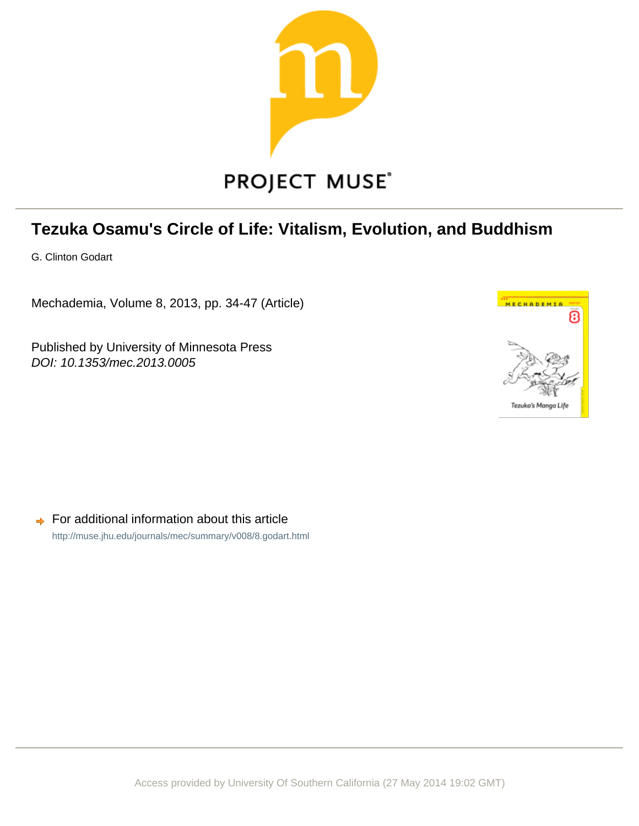

## **Tezuka Osamu's Circle of Life: Vitalism, Evolution, and Buddhism**

G. Clinton Godart

Mechademia, Volume 8, 2013, pp. 34-47 (Article)

Published by University of Minnesota Press DOI: 10.1353/mec.2013.0005



 $\rightarrow$  For additional information about this article <http://muse.jhu.edu/journals/mec/summary/v008/8.godart.html>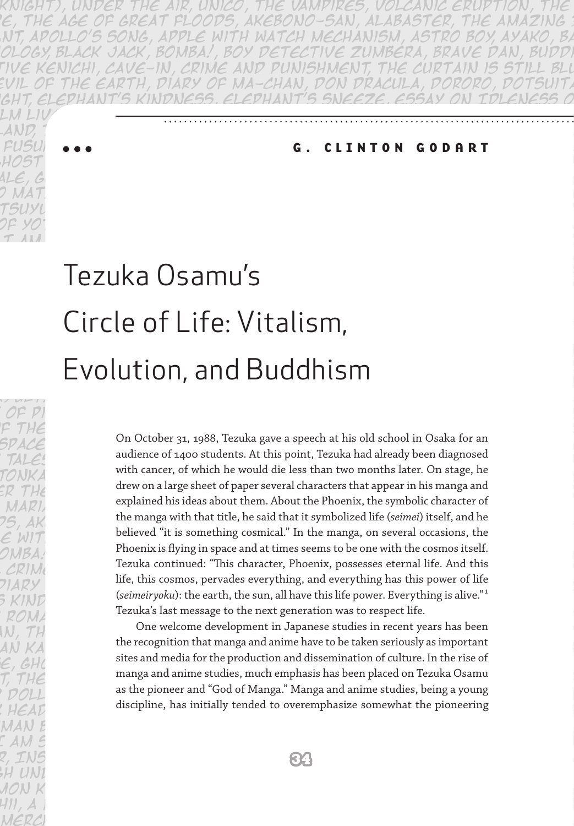*Four Card, Four Fencers of the Forest, Fuku-chan in 21st Century, Fusuke, Futureman Kaos, Gachaboi's Record of One Generation, Game,*  G. CLINTON GODART

## *The Iron Road, Irregularity Fencer, Isolated Island in City, It is Difficult Though Understands Jet King, Jetter Mars, Jungle Emperor*  Tezuka Osamu's *(aka Kimba the White Lion), The Jungle Kingdom, Jungle Taro, Lay of the Rhine, Lemon Kid, Leo-chan, Lion Books, Little Wansa, Lord Classroom, Manga College, Manga Seminar on Biology, Marvelous Melmo, Melody of Iron, The Merchant of Venice, Message to Adolf, Metamorphose, Meteor Prince, Metropolis, Microid S, Midnight, The Miracle Forest, The Monster of the 38th Parallel, The Moon and*  Circle of Life: Vitalism, *Wolves, The Moony Man, MW, The Mysterious Underground Man, Neo Faust, New Treasure Island, Nextworld, Norman, Number 7, Ode to Kirihito, Old Folk's Home, Paper Fortress, Peace Concert, Peacock Shell, The Phoenix, Pippy-chan, The Plain of Abusegahara, Prime Rose, Princess Knight, Queen Nasubi, Queer Arabian Nights, Rag and the Jewel, Rain Boy, Rainbow Fortress, Rainbow Parakeet, Rainbow Prelude,*  Evolution, and Buddhism

*Fancy Free, SF Mix, Shinsengumi, Short Arabesque, Shumari, Song of the White Peacock, Son-goku the Monkey (a.k.a. "Boku no Son Goku | My Monkey King", a.k.a. Saiyuki), Son of Godfather, Soyokaze-san, Spaceship Ringel Rock, The Stories of Three Adolfs, The Strange Boy,*  On October 31, 1988, Tezuka gave a speech at his old school in Osaka for an audience of 1400 students. At this point, Tezuka had already been diagnosed<br>
audience of 1400 students. At this point, Tezuka had already been diagnosed *Akikazu Inoue, The Three-eyed One, Thunder Mask, Tiger Books, Tonkara Valley Story, Triton of the Sea, Tuberculoses, Twenty First*  with cancer, of which he would die less than two months later. On stage, he *CRIPHE* drew on a large sheet of paper several characters that appear in his manga and drew on a large sheet of paper several characters that appear in his manga and explained his ideas about them. About the Phoenix, the symbolic character of Rock, and Rock, and Rock, and Rock, and Rock, and Rock, and Rock, and Rock, and Rock, and Rock, and Rock, and Rock, and Rock, and Rock, and Rock,  $75$ , AK the manga with that title, he said that it symbolized life (seimei) itself, and he *G WIT* believed "it is something cosmical." In the manga, on several occasions, the  $\epsilon$  *WIT Barbara, Benkei, Big X, Biiko-chan, Birdman Anthology, Black Jack, Bomba!, Boy Detective Zumbera, Brave Dan, Buddha, Burunga I, Captain*  Phoenix is flying in space and at times seems to be one with the cosmos itself. *Atom, Captain Ken, Captain Ozma, Chief Detective Kenichi, Cave-in, Crime and Punishment, The Curtain is Still Blue Tonight, DAmons, The*  Tezuka continued: "This character, Phoenix, possesses eternal life. And this *DIARY* life, this cosmos, pervades everything, and everything has this power of life in the March of the Up to Dracula, Plan, Plan, Plan, Plan, Plan, Plan, Plan, Plan, Plan, Plan, Plan, Plan, Plan, Plan, Plan, Plan, Plan,  $\mathcal{B}$   $K/ND$  (*seimeiryoku*): the earth, the sun, all have this life power. Everything is alive."<sup>1</sup> *EOM/* Tezuka's last message to the next generation was to respect life.<br>
Texts of Tutelary God, Fig. 1, Fig. 1, Fig. 2, Fig. 2, Fig. 2, Fig. 2, Fig. 2, Fig. 2, Fig. 2, Fig. 2, Fig. 2,

*Flying Ben, Ford 32 years Type, The Fossil Island, The Fossil Man, The Fossil Man Strikes Back, Fountain of Crane, Four Card, Four*  One welcome development in Japanese studies in recent years has been *Fencers of the Forest, Fuku-chan in 21st Century, Fusuke, Futureman Kaos, Gachaboi's Record of One Generation, Game, Garbage War, Gary*  the recognition that manga and anime have to be taken seriously as important  $\mathcal{L}$  *GH* $\alpha$  sites and media for the production and dissemination of culture. In the rise of *Giletta, Go Out!, God Father's son, Gold City, Gold Scale, Golden Bat, The Golden Trunk, Good bye, Mali, Good bye, Mr. Eiichi Fukui, Goodbye*  manga and anime studies, much emphasis has been placed on Tezuka Osamu *Night, Good Morning Cusco, Goro of Hatchoike, Goto Matabei, Grand Dolls, Green outskirts, Gringo, Gu-chan & Paiko, Gum Gum Punch, Gut-*as the pioneer and "God of Manga." Manga and anime studies, being a young  $\mathcal{H} \in \mathcal{A} \mathcal{D}$  discipline, has initially tended to overemphasize somewhat the pioneering

*The Adventure of Rock, Adventure of Rubi, The Age of Adventure, The Age of Great Floods, Akebono-san, Alabaster, The Amazing 3, Ambassador Magma, Angel Gunfighter, Angel's Hill, Ant and the Giant, Apollo's Song, Apple with Watch Mechanism, Astro Boy, Ayako, Bagi, Boss of the Earth, Barbara, Benkei, Big X, Biiko-chan, Birdman Anthology, Black Jack, Bomba!, Boy Detective Zumbera, Brave Dan, Buddha, Burunga I, Captain Atom, Captain Ken, Captain Ozma, Chief Detective Kenichi, Cave-in, Crime and Punishment, The Curtain is Still Blue Tonight, DAmons, The Detective Rock Home, The Devil Garon, The Devil of the Earth, Diary of Ma-chan, Don Dracula, Dororo, Dotsuitare, Dove, Fly Up to Heaven, Dr. Mars, Dr. Thrill, Duke Goblin, Dust Eight, Elephant's Kindness, Elephant's Sneeze, Essay on Idleness of Animals, The Euphrates Tree, The Fairy of Storms, Faust, The Film Lives On, Fine Romance, Fire of Tutelary God, Fire Valley, Fisher, Flower & Barbarian, Flying Ben, Ford 32 years Type, The Fossil Island, The Fossil Man, The Fossil Man Strikes Back, Fountain of Crane,* 

*Twenty First Century Adventure, Twin Knight (Sequel to Princess Knight), Under the Air, Unico, The Vampires, Volcanic Eruption, The*

*Garbage War, Gary bar pollution record, General Onimaru, Ghost, Ghost in jet base, Ghost Jungle, Ghost story at 1p.m., Gikko-chan and Makko-chan, Giletta, Go Out!, God Father's son, Gold City, Gold Scale, Golden Bat, The Golden Trunk, Good bye, Mali, Good bye, Mr. Eiichi Fukui, Goodbye Night, Good Morning Cusco, Goro of Hatchoike, Goto Matabei, Grand Dolls, Green outskirts, Gringo, Gu-chan & Paiko, Gum Gum Punch, Gut-chan, Hans and Hair of Money, HAPPY NEW YEAR, Hatsuyume Family, Head of cheerleaders of Kanoko, Hello! Chippo-kun, Higeoyaji, Dr. Ochanomizu, HIKARI, Himawari-san, Horror Tales of Yotsuya, Human being in the Moon World, Human Metamorphosis, Hungry Blues, Hurricane Z, Hyoroku and Gonroku, Hyotan Komako, I am a Ninja, I am Sarutobi!, I.L, Ikki Mandara, Infant development* 

*Rally Up, Mankind!, Record of the Glass Castle, Record of Peter Kyultan, The Road to Utopian Lurue, Rock on Volcano Island, Roppu-*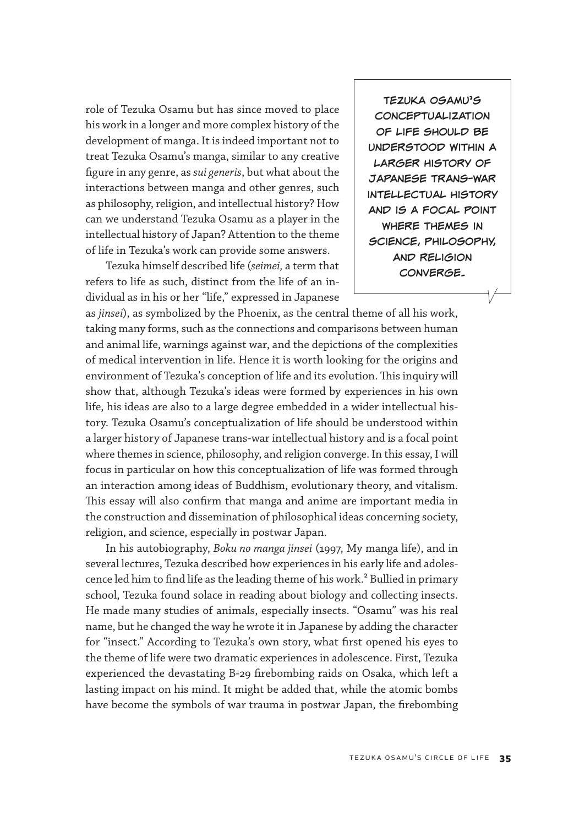role of Tezuka Osamu but has since moved to place his work in a longer and more complex history of the development of manga. It is indeed important not to treat Tezuka Osamu's manga, similar to any creative figure in any genre, as *sui generis*, but what about the interactions between manga and other genres, such as philosophy, religion, and intellectual history? How can we understand Tezuka Osamu as a player in the intellectual history of Japan? Attention to the theme of life in Tezuka's work can provide some answers.

Tezuka himself described life (*seimei,* a term that refers to life as such, distinct from the life of an individual as in his or her "life," expressed in Japanese

Tezuka Osamu's conceptualization of life should be understood within a larger history of Japanese trans-war intellectual history and is a focal point where themes in science, philosophy, and religion converge.

as *jinsei*), as symbolized by the Phoenix, as the central theme of all his work, taking many forms, such as the connections and comparisons between human and animal life, warnings against war, and the depictions of the complexities of medical intervention in life. Hence it is worth looking for the origins and environment of Tezuka's conception of life and its evolution. This inquiry will show that, although Tezuka's ideas were formed by experiences in his own life, his ideas are also to a large degree embedded in a wider intellectual history. Tezuka Osamu's conceptualization of life should be understood within a larger history of Japanese trans-war intellectual history and is a focal point where themes in science, philosophy, and religion converge. In this essay, I will focus in particular on how this conceptualization of life was formed through an interaction among ideas of Buddhism, evolutionary theory, and vitalism. This essay will also confirm that manga and anime are important media in the construction and dissemination of philosophical ideas concerning society, religion, and science, especially in postwar Japan.

In his autobiography, *Boku no manga jinsei* (1997, My manga life), and in several lectures, Tezuka described how experiences in his early life and adolescence led him to find life as the leading theme of his work.<sup>2</sup> Bullied in primary school, Tezuka found solace in reading about biology and collecting insects. He made many studies of animals, especially insects. "Osamu" was his real name, but he changed the way he wrote it in Japanese by adding the character for "insect." According to Tezuka's own story, what first opened his eyes to the theme of life were two dramatic experiences in adolescence. First, Tezuka experienced the devastating B-29 firebombing raids on Osaka, which left a lasting impact on his mind. It might be added that, while the atomic bombs have become the symbols of war trauma in postwar Japan, the firebombing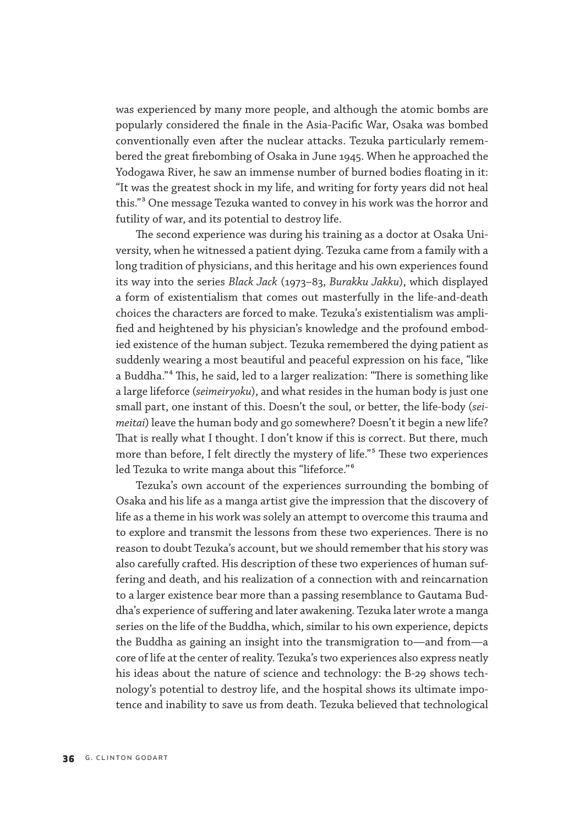was experienced by many more people, and although the atomic bombs are popularly considered the finale in the Asia-Pacific War, Osaka was bombed conventionally even after the nuclear attacks. Tezuka particularly remembered the great firebombing of Osaka in June 1945. When he approached the Yodogawa River, he saw an immense number of burned bodies floating in it: "It was the greatest shock in my life, and writing for forty years did not heal this."3 One message Tezuka wanted to convey in his work was the horror and futility of war, and its potential to destroy life.

The second experience was during his training as a doctor at Osaka University, when he witnessed a patient dying. Tezuka came from a family with a long tradition of physicians, and this heritage and his own experiences found its way into the series *Black Jack* (1973–83, *Burakku Jakku*), which displayed a form of existentialism that comes out masterfully in the life-and-death choices the characters are forced to make. Tezuka's existentialism was amplified and heightened by his physician's knowledge and the profound embodied existence of the human subject. Tezuka remembered the dying patient as suddenly wearing a most beautiful and peaceful expression on his face, "like a Buddha."4 This, he said, led to a larger realization: "There is something like a large lifeforce (*seimeiryoku*), and what resides in the human body is just one small part, one instant of this. Doesn't the soul, or better, the life-body (*seimeitai*) leave the human body and go somewhere? Doesn't it begin a new life? That is really what I thought. I don't know if this is correct. But there, much more than before, I felt directly the mystery of life."5 These two experiences led Tezuka to write manga about this "lifeforce."6

Tezuka's own account of the experiences surrounding the bombing of Osaka and his life as a manga artist give the impression that the discovery of life as a theme in his work was solely an attempt to overcome this trauma and to explore and transmit the lessons from these two experiences. There is no reason to doubt Tezuka's account, but we should remember that his story was also carefully crafted. His description of these two experiences of human suffering and death, and his realization of a connection with and reincarnation to a larger existence bear more than a passing resemblance to Gautama Buddha's experience of suffering and later awakening. Tezuka later wrote a manga series on the life of the Buddha, which, similar to his own experience, depicts the Buddha as gaining an insight into the transmigration to—and from—a core of life at the center of reality. Tezuka's two experiences also express neatly his ideas about the nature of science and technology: the B-29 shows technology's potential to destroy life, and the hospital shows its ultimate impotence and inability to save us from death. Tezuka believed that technological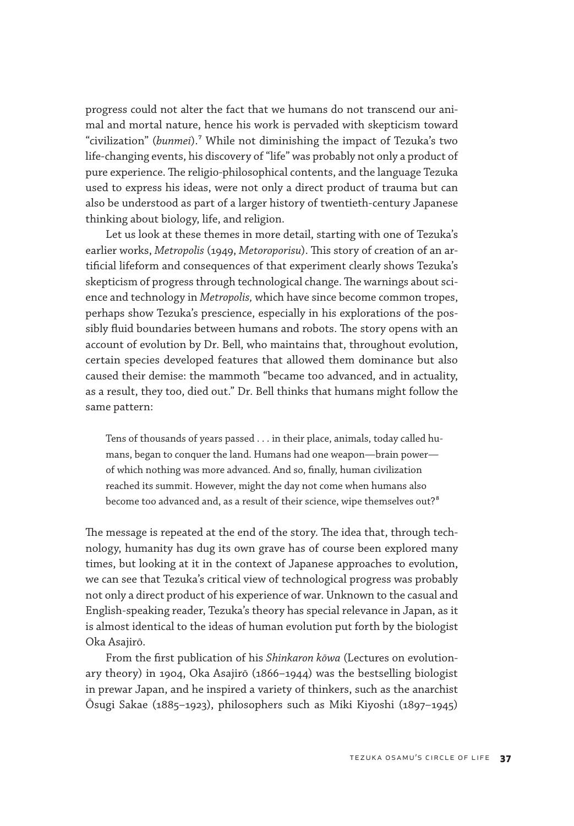progress could not alter the fact that we humans do not transcend our animal and mortal nature, hence his work is pervaded with skepticism toward "civilization" (*bunmei*).7 While not diminishing the impact of Tezuka's two life-changing events, his discovery of "life" was probably not only a product of pure experience. The religio-philosophical contents, and the language Tezuka used to express his ideas, were not only a direct product of trauma but can also be understood as part of a larger history of twentieth-century Japanese thinking about biology, life, and religion.

Let us look at these themes in more detail, starting with one of Tezuka's earlier works, *Metropolis* (1949, *Metoroporisu*). This story of creation of an artificial lifeform and consequences of that experiment clearly shows Tezuka's skepticism of progress through technological change. The warnings about science and technology in *Metropolis,* which have since become common tropes, perhaps show Tezuka's prescience, especially in his explorations of the possibly fluid boundaries between humans and robots. The story opens with an account of evolution by Dr. Bell, who maintains that, throughout evolution, certain species developed features that allowed them dominance but also caused their demise: the mammoth "became too advanced, and in actuality, as a result, they too, died out." Dr. Bell thinks that humans might follow the same pattern:

Tens of thousands of years passed . . . in their place, animals, today called humans, began to conquer the land. Humans had one weapon—brain power of which nothing was more advanced. And so, finally, human civilization reached its summit. However, might the day not come when humans also become too advanced and, as a result of their science, wipe themselves out?<sup>8</sup>

The message is repeated at the end of the story. The idea that, through technology, humanity has dug its own grave has of course been explored many times, but looking at it in the context of Japanese approaches to evolution, we can see that Tezuka's critical view of technological progress was probably not only a direct product of his experience of war. Unknown to the casual and English-speaking reader, Tezuka's theory has special relevance in Japan, as it is almost identical to the ideas of human evolution put forth by the biologist Oka Asajirō.

From the first publication of his *Shinkaron kōwa* (Lectures on evolutionary theory) in 1904, Oka Asajirō (1866–1944) was the bestselling biologist in prewar Japan, and he inspired a variety of thinkers, such as the anarchist Ōsugi Sakae (1885–1923), philosophers such as Miki Kiyoshi (1897–1945)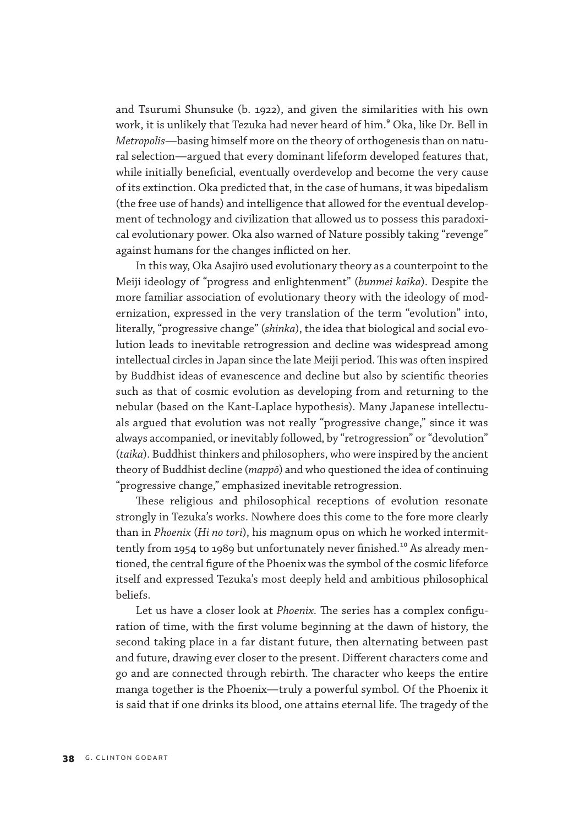and Tsurumi Shunsuke (b. 1922), and given the similarities with his own work, it is unlikely that Tezuka had never heard of him.<sup>9</sup> Oka, like Dr. Bell in *Metropolis*—basing himself more on the theory of orthogenesis than on natural selection—argued that every dominant lifeform developed features that, while initially beneficial, eventually overdevelop and become the very cause of its extinction. Oka predicted that, in the case of humans, it was bipedalism (the free use of hands) and intelligence that allowed for the eventual development of technology and civilization that allowed us to possess this paradoxical evolutionary power. Oka also warned of Nature possibly taking "revenge" against humans for the changes inflicted on her.

In this way, Oka Asajirō used evolutionary theory as a counterpoint to the Meiji ideology of "progress and enlightenment" (*bunmei kaika*). Despite the more familiar association of evolutionary theory with the ideology of modernization, expressed in the very translation of the term "evolution" into, literally, "progressive change" (*shinka*), the idea that biological and social evolution leads to inevitable retrogression and decline was widespread among intellectual circles in Japan since the late Meiji period. This was often inspired by Buddhist ideas of evanescence and decline but also by scientific theories such as that of cosmic evolution as developing from and returning to the nebular (based on the Kant-Laplace hypothesis). Many Japanese intellectuals argued that evolution was not really "progressive change," since it was always accompanied, or inevitably followed, by "retrogression" or "devolution" (*taika*). Buddhist thinkers and philosophers, who were inspired by the ancient theory of Buddhist decline (*mappō*) and who questioned the idea of continuing "progressive change," emphasized inevitable retrogression.

These religious and philosophical receptions of evolution resonate strongly in Tezuka's works. Nowhere does this come to the fore more clearly than in *Phoenix* (*Hi no tori*), his magnum opus on which he worked intermittently from 1954 to 1989 but unfortunately never finished.<sup>10</sup> As already mentioned, the central figure of the Phoenix was the symbol of the cosmic lifeforce itself and expressed Tezuka's most deeply held and ambitious philosophical beliefs.

Let us have a closer look at *Phoenix.* The series has a complex configuration of time, with the first volume beginning at the dawn of history, the second taking place in a far distant future, then alternating between past and future, drawing ever closer to the present. Different characters come and go and are connected through rebirth. The character who keeps the entire manga together is the Phoenix—truly a powerful symbol. Of the Phoenix it is said that if one drinks its blood, one attains eternal life. The tragedy of the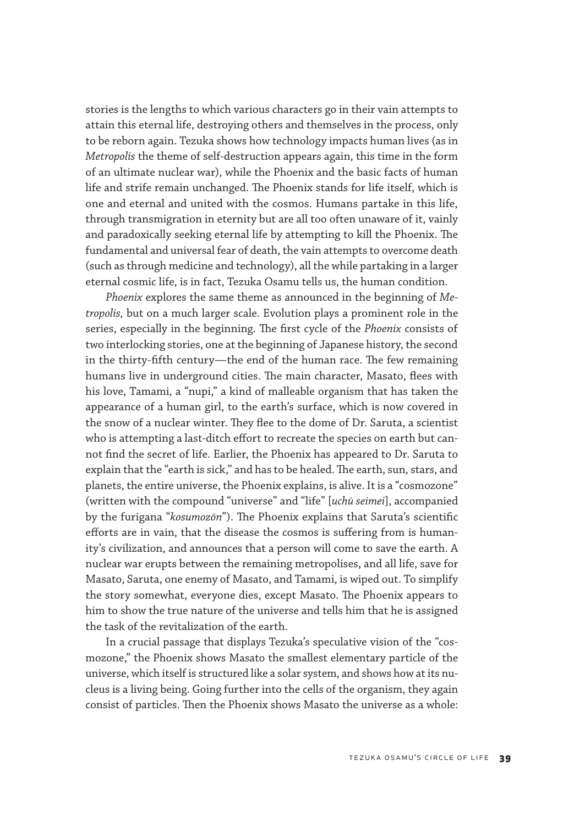stories is the lengths to which various characters go in their vain attempts to attain this eternal life, destroying others and themselves in the process, only to be reborn again. Tezuka shows how technology impacts human lives (as in *Metropolis* the theme of self-destruction appears again, this time in the form of an ultimate nuclear war), while the Phoenix and the basic facts of human life and strife remain unchanged. The Phoenix stands for life itself, which is one and eternal and united with the cosmos. Humans partake in this life, through transmigration in eternity but are all too often unaware of it, vainly and paradoxically seeking eternal life by attempting to kill the Phoenix. The fundamental and universal fear of death, the vain attempts to overcome death (such as through medicine and technology), all the while partaking in a larger eternal cosmic life, is in fact, Tezuka Osamu tells us, the human condition.

*Phoenix* explores the same theme as announced in the beginning of *Metropolis,* but on a much larger scale. Evolution plays a prominent role in the series, especially in the beginning. The first cycle of the *Phoenix* consists of two interlocking stories, one at the beginning of Japanese history, the second in the thirty-fifth century—the end of the human race. The few remaining humans live in underground cities. The main character, Masato, flees with his love, Tamami, a "nupi," a kind of malleable organism that has taken the appearance of a human girl, to the earth's surface, which is now covered in the snow of a nuclear winter. They flee to the dome of Dr. Saruta, a scientist who is attempting a last-ditch effort to recreate the species on earth but cannot find the secret of life. Earlier, the Phoenix has appeared to Dr. Saruta to explain that the "earth is sick," and has to be healed. The earth, sun, stars, and planets, the entire universe, the Phoenix explains, is alive. It is a "cosmozone" (written with the compound "universe" and "life" [*uchū seimei*], accompanied by the furigana "*kosumozōn*"). The Phoenix explains that Saruta's scientific efforts are in vain, that the disease the cosmos is suffering from is humanity's civilization, and announces that a person will come to save the earth. A nuclear war erupts between the remaining metropolises, and all life, save for Masato, Saruta, one enemy of Masato, and Tamami, is wiped out. To simplify the story somewhat, everyone dies, except Masato. The Phoenix appears to him to show the true nature of the universe and tells him that he is assigned the task of the revitalization of the earth.

In a crucial passage that displays Tezuka's speculative vision of the "cosmozone," the Phoenix shows Masato the smallest elementary particle of the universe, which itself is structured like a solar system, and shows how at its nucleus is a living being. Going further into the cells of the organism, they again consist of particles. Then the Phoenix shows Masato the universe as a whole: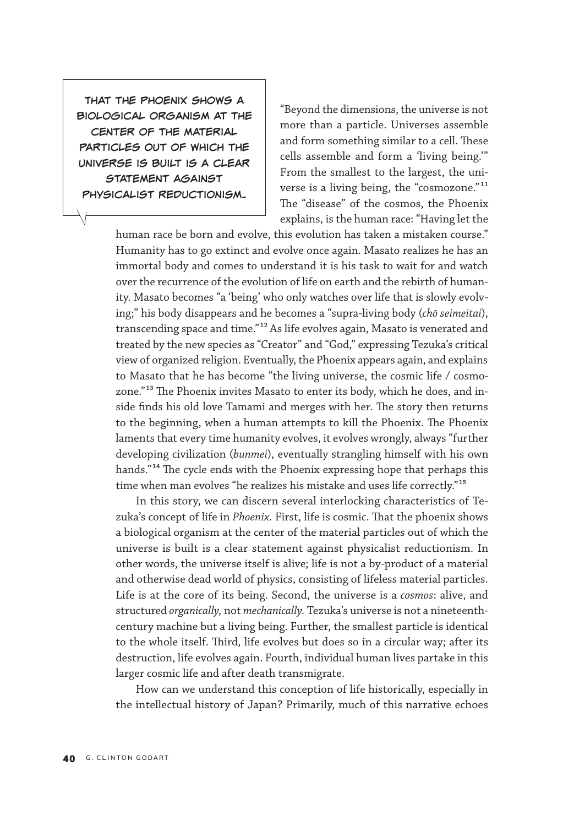That the phoenix shows a biological organism at the center of the material particles out of which the universe is built is a clear statement against physicalist reductionism.

"Beyond the dimensions, the universe is not more than a particle. Universes assemble and form something similar to a cell. These cells assemble and form a 'living being.'" From the smallest to the largest, the universe is a living being, the "cosmozone."11 The "disease" of the cosmos, the Phoenix explains, is the human race: "Having let the

human race be born and evolve, this evolution has taken a mistaken course." Humanity has to go extinct and evolve once again. Masato realizes he has an immortal body and comes to understand it is his task to wait for and watch over the recurrence of the evolution of life on earth and the rebirth of humanity. Masato becomes "a 'being' who only watches over life that is slowly evolving;" his body disappears and he becomes a "supra-living body (*chō seimeitai*), transcending space and time."12 As life evolves again, Masato is venerated and treated by the new species as "Creator" and "God," expressing Tezuka's critical view of organized religion. Eventually, the Phoenix appears again, and explains to Masato that he has become "the living universe, the cosmic life / cosmozone."13 The Phoenix invites Masato to enter its body, which he does, and inside finds his old love Tamami and merges with her. The story then returns to the beginning, when a human attempts to kill the Phoenix. The Phoenix laments that every time humanity evolves, it evolves wrongly, always "further developing civilization (*bunmei*), eventually strangling himself with his own hands."<sup>14</sup> The cycle ends with the Phoenix expressing hope that perhaps this time when man evolves "he realizes his mistake and uses life correctly."15

In this story, we can discern several interlocking characteristics of Tezuka's concept of life in *Phoenix.* First, life is cosmic. That the phoenix shows a biological organism at the center of the material particles out of which the universe is built is a clear statement against physicalist reductionism. In other words, the universe itself is alive; life is not a by-product of a material and otherwise dead world of physics, consisting of lifeless material particles. Life is at the core of its being. Second, the universe is a *cosmos*: alive, and structured *organically,* not *mechanically.* Tezuka's universe is not a nineteenthcentury machine but a living being. Further, the smallest particle is identical to the whole itself. Third, life evolves but does so in a circular way; after its destruction, life evolves again. Fourth, individual human lives partake in this larger cosmic life and after death transmigrate.

How can we understand this conception of life historically, especially in the intellectual history of Japan? Primarily, much of this narrative echoes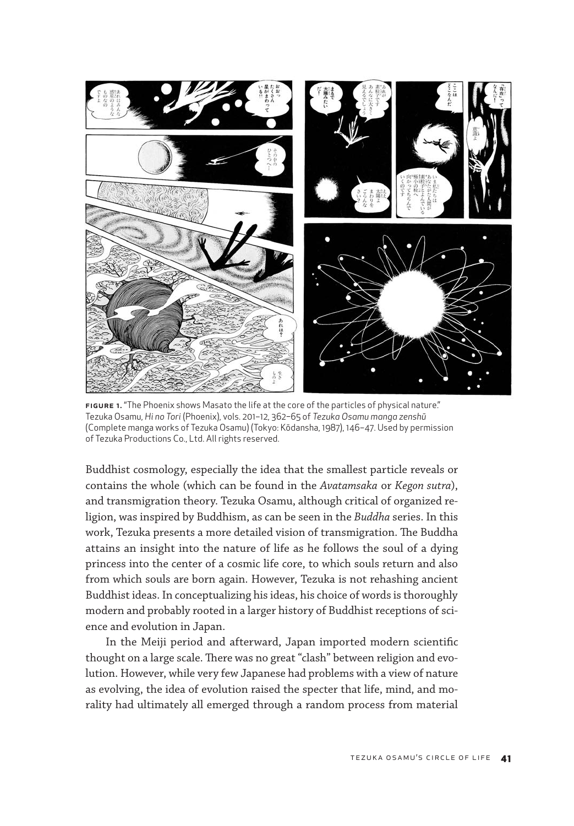

FIGURE 1. "The Phoenix shows Masato the life at the core of the particles of physical nature." Tezuka Osamu, *Hi no Tori* (Phoenix), vols. 201–12, 362−65 of *Tezuka Osamu manga zenshū* (Complete manga works of Tezuka Osamu) (Tokyo: Kōdansha, 1987), 146–47. Used by permission of Tezuka Productions Co., Ltd. All rights reserved.

Buddhist cosmology, especially the idea that the smallest particle reveals or contains the whole (which can be found in the *Avatamsaka* or *Kegon sutra*), and transmigration theory. Tezuka Osamu, although critical of organized religion, was inspired by Buddhism, as can be seen in the *Buddha* series. In this work, Tezuka presents a more detailed vision of transmigration. The Buddha attains an insight into the nature of life as he follows the soul of a dying princess into the center of a cosmic life core, to which souls return and also from which souls are born again. However, Tezuka is not rehashing ancient Buddhist ideas. In conceptualizing his ideas, his choice of words is thoroughly modern and probably rooted in a larger history of Buddhist receptions of science and evolution in Japan.

In the Meiji period and afterward, Japan imported modern scientific thought on a large scale. There was no great "clash" between religion and evolution. However, while very few Japanese had problems with a view of nature as evolving, the idea of evolution raised the specter that life, mind, and morality had ultimately all emerged through a random process from material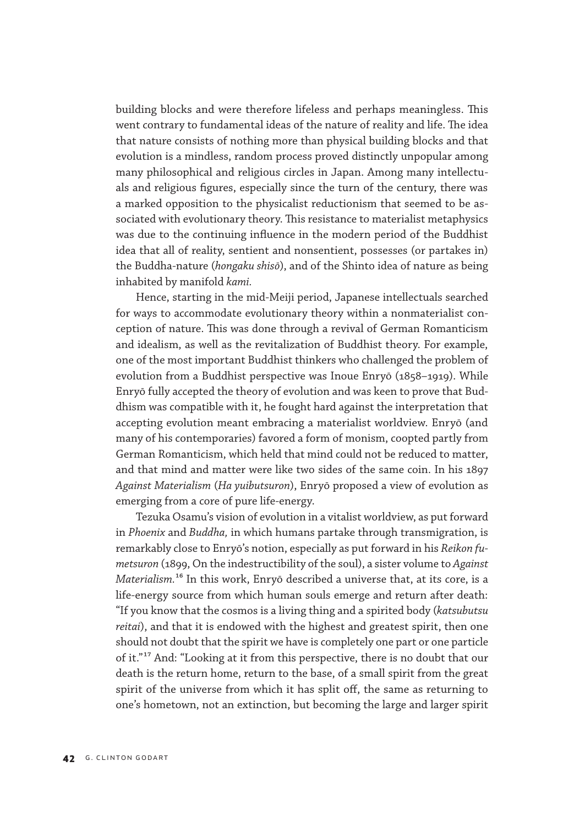building blocks and were therefore lifeless and perhaps meaningless. This went contrary to fundamental ideas of the nature of reality and life. The idea that nature consists of nothing more than physical building blocks and that evolution is a mindless, random process proved distinctly unpopular among many philosophical and religious circles in Japan. Among many intellectuals and religious figures, especially since the turn of the century, there was a marked opposition to the physicalist reductionism that seemed to be associated with evolutionary theory. This resistance to materialist metaphysics was due to the continuing influence in the modern period of the Buddhist idea that all of reality, sentient and nonsentient, possesses (or partakes in) the Buddha-nature (*hongaku shisō*), and of the Shinto idea of nature as being inhabited by manifold *kami.*

Hence, starting in the mid-Meiji period, Japanese intellectuals searched for ways to accommodate evolutionary theory within a nonmaterialist conception of nature. This was done through a revival of German Romanticism and idealism, as well as the revitalization of Buddhist theory. For example, one of the most important Buddhist thinkers who challenged the problem of evolution from a Buddhist perspective was Inoue Enryō (1858–1919). While Enryō fully accepted the theory of evolution and was keen to prove that Buddhism was compatible with it, he fought hard against the interpretation that accepting evolution meant embracing a materialist worldview. Enryō (and many of his contemporaries) favored a form of monism, coopted partly from German Romanticism, which held that mind could not be reduced to matter, and that mind and matter were like two sides of the same coin. In his 1897 *Against Materialism* (*Ha yuibutsuron*), Enryō proposed a view of evolution as emerging from a core of pure life-energy.

Tezuka Osamu's vision of evolution in a vitalist worldview, as put forward in *Phoenix* and *Buddha,* in which humans partake through transmigration, is remarkably close to Enryō's notion, especially as put forward in his *Reikon fumetsuron* (1899, On the indestructibility of the soul), a sister volume to *Against Materialism.*16 In this work, Enryō described a universe that, at its core, is a life-energy source from which human souls emerge and return after death: "If you know that the cosmos is a living thing and a spirited body (*katsubutsu reitai*), and that it is endowed with the highest and greatest spirit, then one should not doubt that the spirit we have is completely one part or one particle of it."17 And: "Looking at it from this perspective, there is no doubt that our death is the return home, return to the base, of a small spirit from the great spirit of the universe from which it has split off, the same as returning to one's hometown, not an extinction, but becoming the large and larger spirit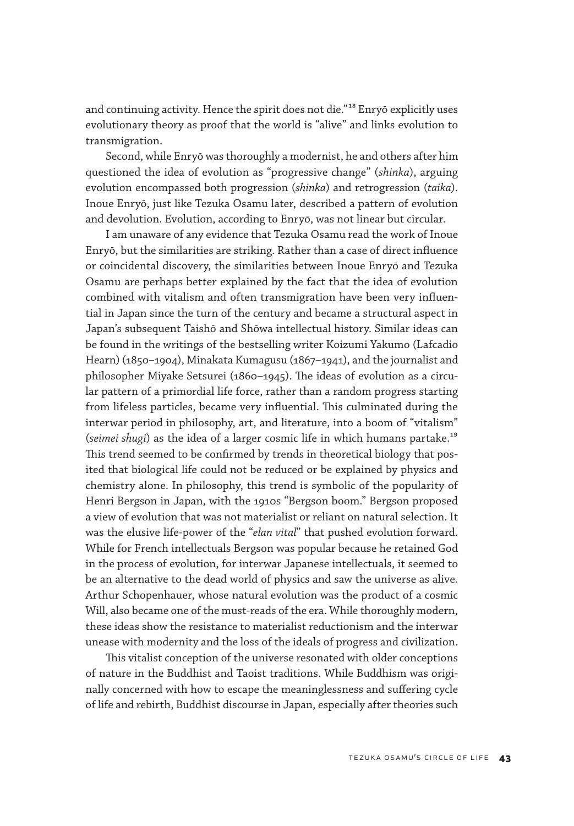and continuing activity. Hence the spirit does not die."<sup>18</sup> Enryō explicitly uses evolutionary theory as proof that the world is "alive" and links evolution to transmigration.

Second, while Enryō was thoroughly a modernist, he and others after him questioned the idea of evolution as "progressive change" (*shinka*), arguing evolution encompassed both progression (*shinka*) and retrogression (*taika*). Inoue Enryō, just like Tezuka Osamu later, described a pattern of evolution and devolution. Evolution, according to Enryō, was not linear but circular.

I am unaware of any evidence that Tezuka Osamu read the work of Inoue Enryō, but the similarities are striking. Rather than a case of direct influence or coincidental discovery, the similarities between Inoue Enryō and Tezuka Osamu are perhaps better explained by the fact that the idea of evolution combined with vitalism and often transmigration have been very influential in Japan since the turn of the century and became a structural aspect in Japan's subsequent Taishō and Shōwa intellectual history. Similar ideas can be found in the writings of the bestselling writer Koizumi Yakumo (Lafcadio Hearn) (1850–1904), Minakata Kumagusu (1867–1941), and the journalist and philosopher Miyake Setsurei (1860–1945). The ideas of evolution as a circular pattern of a primordial life force, rather than a random progress starting from lifeless particles, became very influential. This culminated during the interwar period in philosophy, art, and literature, into a boom of "vitalism" (*seimei shugi*) as the idea of a larger cosmic life in which humans partake.19 This trend seemed to be confirmed by trends in theoretical biology that posited that biological life could not be reduced or be explained by physics and chemistry alone. In philosophy, this trend is symbolic of the popularity of Henri Bergson in Japan, with the 1910s "Bergson boom." Bergson proposed a view of evolution that was not materialist or reliant on natural selection. It was the elusive life-power of the "*elan vital*" that pushed evolution forward. While for French intellectuals Bergson was popular because he retained God in the process of evolution, for interwar Japanese intellectuals, it seemed to be an alternative to the dead world of physics and saw the universe as alive. Arthur Schopenhauer, whose natural evolution was the product of a cosmic Will, also became one of the must-reads of the era. While thoroughly modern, these ideas show the resistance to materialist reductionism and the interwar unease with modernity and the loss of the ideals of progress and civilization.

This vitalist conception of the universe resonated with older conceptions of nature in the Buddhist and Taoist traditions. While Buddhism was originally concerned with how to escape the meaninglessness and suffering cycle of life and rebirth, Buddhist discourse in Japan, especially after theories such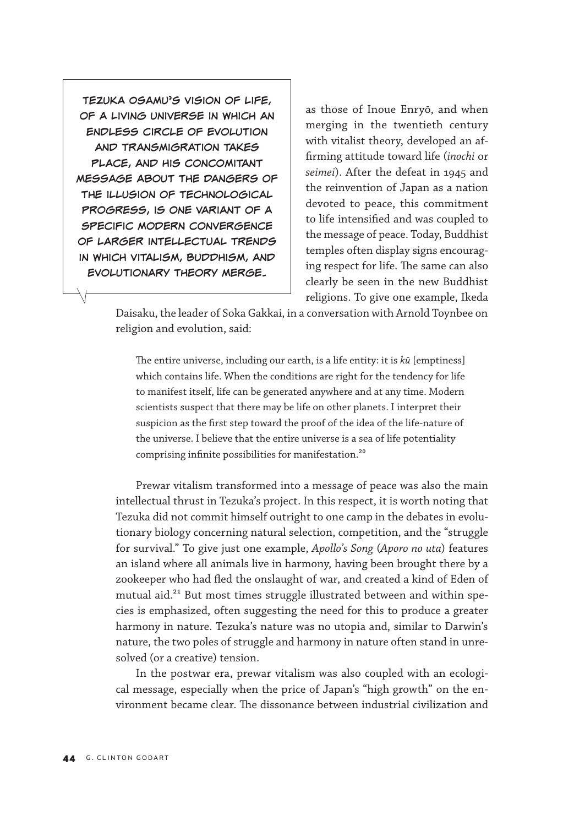Tezuka Osamu's vision of life, of a living universe in which an endless circle of evolution and transmigration takes place, and his concomitant message about the dangers of the illusion of technological progress, is one variant of a specific modern convergence of larger intellectual trends in which vitalism, Buddhism, and evolutionary theory merge.

as those of Inoue Enryō, and when merging in the twentieth century with vitalist theory, developed an affirming attitude toward life (*inochi* or *seimei*). After the defeat in 1945 and the reinvention of Japan as a nation devoted to peace, this commitment to life intensified and was coupled to the message of peace. Today, Buddhist temples often display signs encouraging respect for life. The same can also clearly be seen in the new Buddhist religions. To give one example, Ikeda

Daisaku, the leader of Soka Gakkai, in a conversation with Arnold Toynbee on religion and evolution, said:

The entire universe, including our earth, is a life entity: it is *kū* [emptiness] which contains life. When the conditions are right for the tendency for life to manifest itself, life can be generated anywhere and at any time. Modern scientists suspect that there may be life on other planets. I interpret their suspicion as the first step toward the proof of the idea of the life-nature of the universe. I believe that the entire universe is a sea of life potentiality comprising infinite possibilities for manifestation.<sup>20</sup>

Prewar vitalism transformed into a message of peace was also the main intellectual thrust in Tezuka's project. In this respect, it is worth noting that Tezuka did not commit himself outright to one camp in the debates in evolutionary biology concerning natural selection, competition, and the "struggle for survival." To give just one example, *Apollo's Song* (*Aporo no uta*) features an island where all animals live in harmony, having been brought there by a zookeeper who had fled the onslaught of war, and created a kind of Eden of mutual aid.<sup>21</sup> But most times struggle illustrated between and within species is emphasized, often suggesting the need for this to produce a greater harmony in nature. Tezuka's nature was no utopia and, similar to Darwin's nature, the two poles of struggle and harmony in nature often stand in unresolved (or a creative) tension.

In the postwar era, prewar vitalism was also coupled with an ecological message, especially when the price of Japan's "high growth" on the environment became clear. The dissonance between industrial civilization and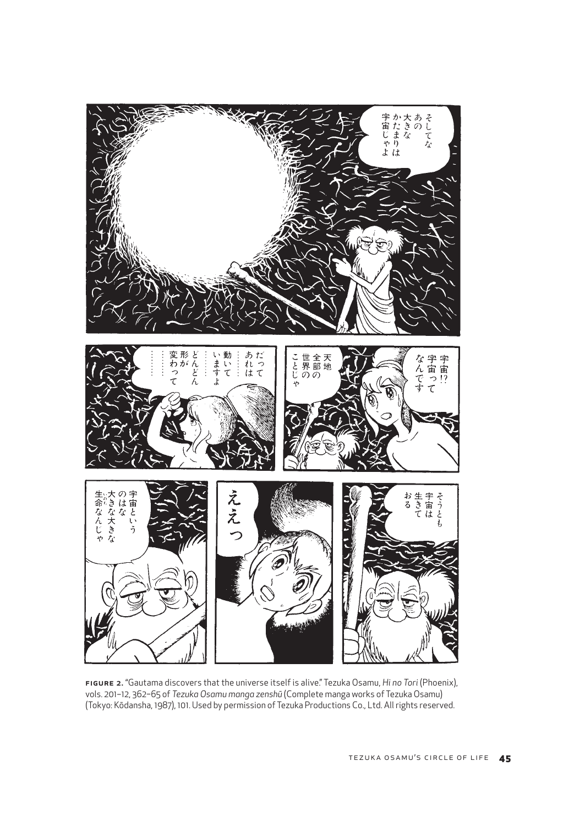

Figure 2. "Gautama discovers that the universe itself is alive." Tezuka Osamu, *Hi no Tori* (Phoenix), vols. 201–12, 362−65 of *Tezuka Osamu manga zenshū* (Complete manga works of Tezuka Osamu) (Tokyo: Kōdansha, 1987), 101. Used by permission of Tezuka Productions Co., Ltd. All rights reserved.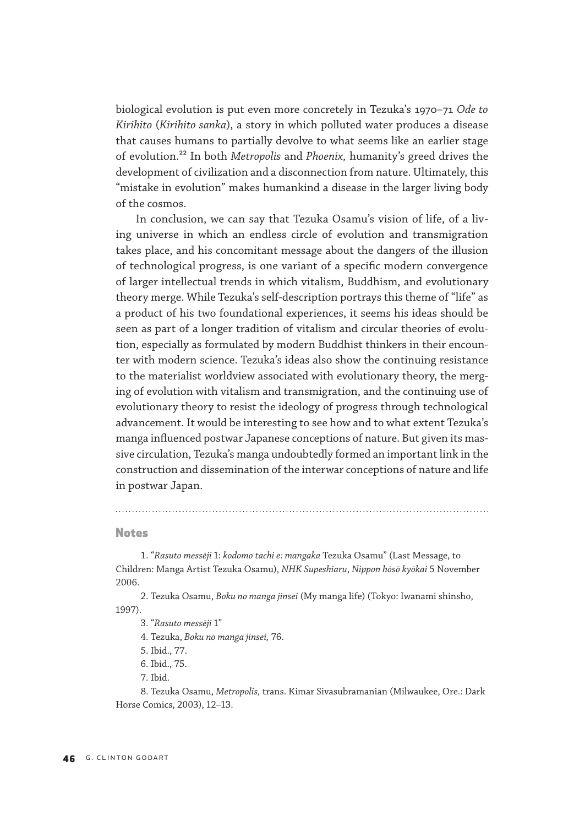biological evolution is put even more concretely in Tezuka's 1970–71 *Ode to Kirihito* (*Kirihito sanka*), a story in which polluted water produces a disease that causes humans to partially devolve to what seems like an earlier stage of evolution.22 In both *Metropolis* and *Phoenix,* humanity's greed drives the development of civilization and a disconnection from nature. Ultimately, this "mistake in evolution" makes humankind a disease in the larger living body of the cosmos.

In conclusion, we can say that Tezuka Osamu's vision of life, of a living universe in which an endless circle of evolution and transmigration takes place, and his concomitant message about the dangers of the illusion of technological progress, is one variant of a specific modern convergence of larger intellectual trends in which vitalism, Buddhism, and evolutionary theory merge. While Tezuka's self-description portrays this theme of "life" as a product of his two foundational experiences, it seems his ideas should be seen as part of a longer tradition of vitalism and circular theories of evolution, especially as formulated by modern Buddhist thinkers in their encounter with modern science. Tezuka's ideas also show the continuing resistance to the materialist worldview associated with evolutionary theory, the merging of evolution with vitalism and transmigration, and the continuing use of evolutionary theory to resist the ideology of progress through technological advancement. It would be interesting to see how and to what extent Tezuka's manga influenced postwar Japanese conceptions of nature. But given its massive circulation, Tezuka's manga undoubtedly formed an important link in the construction and dissemination of the interwar conceptions of nature and life in postwar Japan.

## **Notes**

1. "*Rasuto messēji* 1: *kodomo tachi e: mangaka* Tezuka Osamu" (Last Message, to Children: Manga Artist Tezuka Osamu), *NHK Supeshiaru*, *Nippon hōsō kyōkai* 5 November 2006.

2. Tezuka Osamu, *Boku no manga jinsei* (My manga life) (Tokyo: Iwanami shinsho, 1997).

3. "*Rasuto messēji* 1"

4. Tezuka, *Boku no manga jinsei,* 76.

5. Ibid., 77.

6. Ibid., 75.

7. Ibid.

8. Tezuka Osamu, *Metropolis,* trans. Kimar Sivasubramanian (Milwaukee, Ore.: Dark Horse Comics, 2003), 12–13.